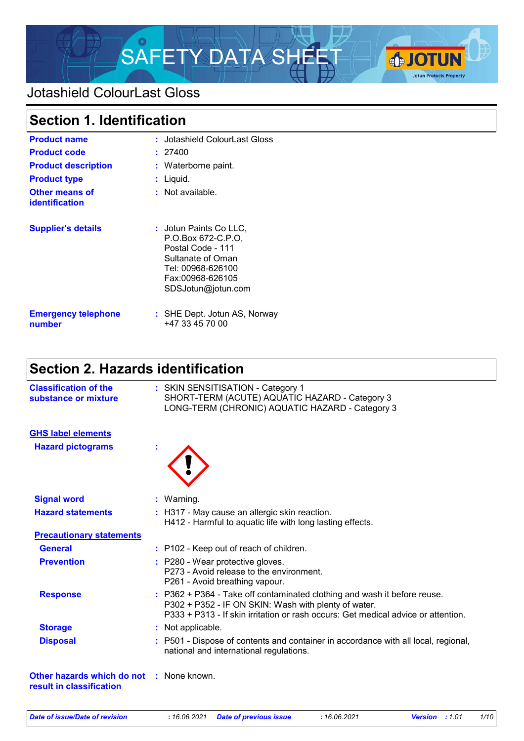

### Jotashield ColourLast Gloss

| <b>Section 1. Identification</b>        |                                                                                                                                                       |  |
|-----------------------------------------|-------------------------------------------------------------------------------------------------------------------------------------------------------|--|
| <b>Product name</b>                     | : Jotashield ColourLast Gloss                                                                                                                         |  |
| <b>Product code</b>                     | : 27400                                                                                                                                               |  |
| <b>Product description</b>              | : Waterborne paint.                                                                                                                                   |  |
| <b>Product type</b>                     | : Liquid.                                                                                                                                             |  |
| Other means of<br><b>identification</b> | $:$ Not available.                                                                                                                                    |  |
| <b>Supplier's details</b>               | : Jotun Paints Co LLC,<br>P.O.Box 672-C.P.O.<br>Postal Code - 111<br>Sultanate of Oman<br>Tel: 00968-626100<br>Fax:00968-626105<br>SDSJotun@jotun.com |  |
| <b>Emergency telephone</b><br>number    | : SHE Dept. Jotun AS, Norway<br>+47 33 45 70 00                                                                                                       |  |

# **Section 2. Hazards identification**

| <b>Classification of the</b><br>substance or mixture   | : SKIN SENSITISATION - Category 1<br>SHORT-TERM (ACUTE) AQUATIC HAZARD - Category 3<br>LONG-TERM (CHRONIC) AQUATIC HAZARD - Category 3                                                                                |
|--------------------------------------------------------|-----------------------------------------------------------------------------------------------------------------------------------------------------------------------------------------------------------------------|
| <b>GHS label elements</b>                              |                                                                                                                                                                                                                       |
| <b>Hazard pictograms</b>                               |                                                                                                                                                                                                                       |
| <b>Signal word</b>                                     | $:$ Warning.                                                                                                                                                                                                          |
| <b>Hazard statements</b>                               | : H317 - May cause an allergic skin reaction.<br>H412 - Harmful to aquatic life with long lasting effects.                                                                                                            |
| <b>Precautionary statements</b>                        |                                                                                                                                                                                                                       |
| <b>General</b>                                         | : P102 - Keep out of reach of children.                                                                                                                                                                               |
| <b>Prevention</b>                                      | : P280 - Wear protective gloves.<br>P273 - Avoid release to the environment.<br>P261 - Avoid breathing vapour.                                                                                                        |
| <b>Response</b>                                        | : P362 + P364 - Take off contaminated clothing and wash it before reuse.<br>P302 + P352 - IF ON SKIN: Wash with plenty of water.<br>P333 + P313 - If skin irritation or rash occurs: Get medical advice or attention. |
| <b>Storage</b>                                         | : Not applicable.                                                                                                                                                                                                     |
| <b>Disposal</b>                                        | : P501 - Dispose of contents and container in accordance with all local, regional,<br>national and international regulations.                                                                                         |
| Other hazards which do not<br>result in classification | : None known.                                                                                                                                                                                                         |

*Date of issue/Date of revision* **:** *16.06.2021 Date of previous issue : 16.06.2021 Version : 1.01 1/10*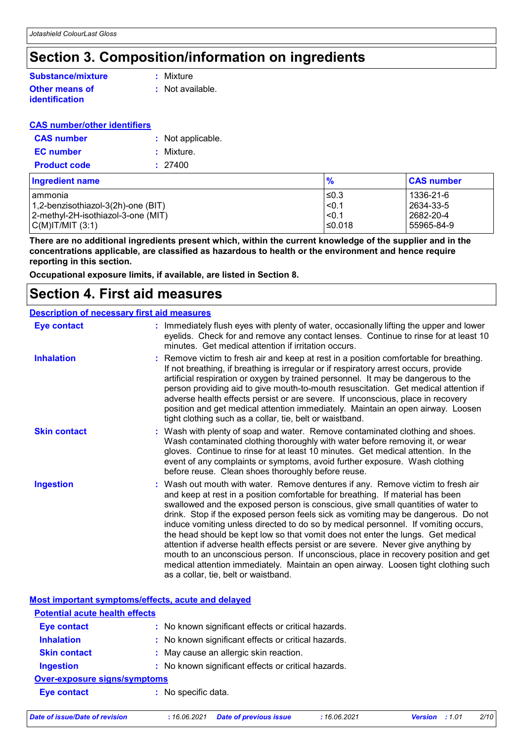# **Section 3. Composition/information on ingredients**

### **Substance/mixture**

#### **Other means of identification**

**:** Mixture

**:** Not available.

#### **CAS number/other identifiers**

| <b>CAS number</b>   | : Not applicable. |
|---------------------|-------------------|
| <b>EC</b> number    | : Mixture.        |
| <b>Product code</b> | : 27400           |

| <b>Ingredient name</b>             | $\frac{9}{6}$ | <b>CAS number</b> |
|------------------------------------|---------------|-------------------|
| l ammonia                          | l≤0.3         | 1336-21-6         |
| 1,2-benzisothiazol-3(2h)-one (BIT) | < 0.1         | 2634-33-5         |
| 2-methyl-2H-isothiazol-3-one (MIT) | < 0.1         | 2682-20-4         |
| C(M) T/MIT (3:1)                   | l≤0.018       | 55965-84-9        |

**There are no additional ingredients present which, within the current knowledge of the supplier and in the concentrations applicable, are classified as hazardous to health or the environment and hence require reporting in this section.**

**Occupational exposure limits, if available, are listed in Section 8.**

### **Section 4. First aid measures**

#### **Description of necessary first aid measures**

| <b>Eye contact</b>  | ÷ | Immediately flush eyes with plenty of water, occasionally lifting the upper and lower<br>eyelids. Check for and remove any contact lenses. Continue to rinse for at least 10<br>minutes. Get medical attention if irritation occurs.                                                                                                                                                                                                                                                                                                                                                                                                                                                                                                                                                                                         |
|---------------------|---|------------------------------------------------------------------------------------------------------------------------------------------------------------------------------------------------------------------------------------------------------------------------------------------------------------------------------------------------------------------------------------------------------------------------------------------------------------------------------------------------------------------------------------------------------------------------------------------------------------------------------------------------------------------------------------------------------------------------------------------------------------------------------------------------------------------------------|
| <b>Inhalation</b>   |   | : Remove victim to fresh air and keep at rest in a position comfortable for breathing.<br>If not breathing, if breathing is irregular or if respiratory arrest occurs, provide<br>artificial respiration or oxygen by trained personnel. It may be dangerous to the<br>person providing aid to give mouth-to-mouth resuscitation. Get medical attention if<br>adverse health effects persist or are severe. If unconscious, place in recovery<br>position and get medical attention immediately. Maintain an open airway. Loosen<br>tight clothing such as a collar, tie, belt or waistband.                                                                                                                                                                                                                                 |
| <b>Skin contact</b> |   | : Wash with plenty of soap and water. Remove contaminated clothing and shoes.<br>Wash contaminated clothing thoroughly with water before removing it, or wear<br>gloves. Continue to rinse for at least 10 minutes. Get medical attention. In the<br>event of any complaints or symptoms, avoid further exposure. Wash clothing<br>before reuse. Clean shoes thoroughly before reuse.                                                                                                                                                                                                                                                                                                                                                                                                                                        |
| <b>Ingestion</b>    |   | : Wash out mouth with water. Remove dentures if any. Remove victim to fresh air<br>and keep at rest in a position comfortable for breathing. If material has been<br>swallowed and the exposed person is conscious, give small quantities of water to<br>drink. Stop if the exposed person feels sick as vomiting may be dangerous. Do not<br>induce vomiting unless directed to do so by medical personnel. If vomiting occurs,<br>the head should be kept low so that vomit does not enter the lungs. Get medical<br>attention if adverse health effects persist or are severe. Never give anything by<br>mouth to an unconscious person. If unconscious, place in recovery position and get<br>medical attention immediately. Maintain an open airway. Loosen tight clothing such<br>as a collar, tie, belt or waistband. |

|                                       | Most important symptoms/effects, acute and delayed  |  |
|---------------------------------------|-----------------------------------------------------|--|
| <b>Potential acute health effects</b> |                                                     |  |
| <b>Eye contact</b>                    | : No known significant effects or critical hazards. |  |
| <b>Inhalation</b>                     | : No known significant effects or critical hazards. |  |
| <b>Skin contact</b>                   | : May cause an allergic skin reaction.              |  |
| <b>Ingestion</b>                      | : No known significant effects or critical hazards. |  |
| <b>Over-exposure signs/symptoms</b>   |                                                     |  |
| Eye contact                           | : No specific data.                                 |  |
|                                       |                                                     |  |

*Date of issue/Date of revision* **:** *16.06.2021 Date of previous issue : 16.06.2021 Version : 1.01 2/10*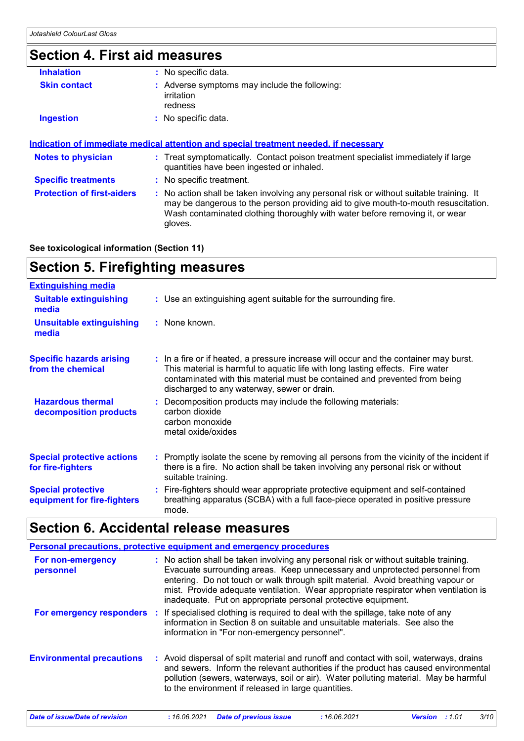# **Section 4. First aid measures**

| <b>Inhalation</b>                 | : No specific data.                                                                                                                                                                                                                                                      |
|-----------------------------------|--------------------------------------------------------------------------------------------------------------------------------------------------------------------------------------------------------------------------------------------------------------------------|
| <b>Skin contact</b>               | : Adverse symptoms may include the following:<br>irritation<br>redness                                                                                                                                                                                                   |
| <b>Ingestion</b>                  | : No specific data.                                                                                                                                                                                                                                                      |
| <b>Notes to physician</b>         | : Treat symptomatically. Contact poison treatment specialist immediately if large<br>quantities have been ingested or inhaled.                                                                                                                                           |
|                                   |                                                                                                                                                                                                                                                                          |
| <b>Specific treatments</b>        | : No specific treatment.                                                                                                                                                                                                                                                 |
| <b>Protection of first-aiders</b> | : No action shall be taken involving any personal risk or without suitable training. It<br>may be dangerous to the person providing aid to give mouth-to-mouth resuscitation.<br>Wash contaminated clothing thoroughly with water before removing it, or wear<br>gloves. |
|                                   |                                                                                                                                                                                                                                                                          |

**See toxicological information (Section 11)**

# **Section 5. Firefighting measures**

| <b>Extinguishing media</b>                               |                                                                                                                                                                                                                                                                                                      |
|----------------------------------------------------------|------------------------------------------------------------------------------------------------------------------------------------------------------------------------------------------------------------------------------------------------------------------------------------------------------|
| <b>Suitable extinguishing</b><br>media                   | : Use an extinguishing agent suitable for the surrounding fire.                                                                                                                                                                                                                                      |
| <b>Unsuitable extinguishing</b><br>media                 | : None known.                                                                                                                                                                                                                                                                                        |
| <b>Specific hazards arising</b><br>from the chemical     | : In a fire or if heated, a pressure increase will occur and the container may burst.<br>This material is harmful to aquatic life with long lasting effects. Fire water<br>contaminated with this material must be contained and prevented from being<br>discharged to any waterway, sewer or drain. |
| <b>Hazardous thermal</b><br>decomposition products       | : Decomposition products may include the following materials:<br>carbon dioxide<br>carbon monoxide<br>metal oxide/oxides                                                                                                                                                                             |
| <b>Special protective actions</b><br>for fire-fighters   | : Promptly isolate the scene by removing all persons from the vicinity of the incident if<br>there is a fire. No action shall be taken involving any personal risk or without<br>suitable training.                                                                                                  |
| <b>Special protective</b><br>equipment for fire-fighters | : Fire-fighters should wear appropriate protective equipment and self-contained<br>breathing apparatus (SCBA) with a full face-piece operated in positive pressure<br>mode.                                                                                                                          |

## **Section 6. Accidental release measures**

|                                  | <b>Personal precautions, protective equipment and emergency procedures</b>                                                                                                                                                                                                                                                                                                                                      |
|----------------------------------|-----------------------------------------------------------------------------------------------------------------------------------------------------------------------------------------------------------------------------------------------------------------------------------------------------------------------------------------------------------------------------------------------------------------|
| For non-emergency<br>personnel   | : No action shall be taken involving any personal risk or without suitable training.<br>Evacuate surrounding areas. Keep unnecessary and unprotected personnel from<br>entering. Do not touch or walk through spilt material. Avoid breathing vapour or<br>mist. Provide adequate ventilation. Wear appropriate respirator when ventilation is<br>inadequate. Put on appropriate personal protective equipment. |
|                                  | For emergency responders : If specialised clothing is required to deal with the spillage, take note of any<br>information in Section 8 on suitable and unsuitable materials. See also the<br>information in "For non-emergency personnel".                                                                                                                                                                      |
| <b>Environmental precautions</b> | : Avoid dispersal of spilt material and runoff and contact with soil, waterways, drains<br>and sewers. Inform the relevant authorities if the product has caused environmental<br>pollution (sewers, waterways, soil or air). Water polluting material. May be harmful<br>to the environment if released in large quantities.                                                                                   |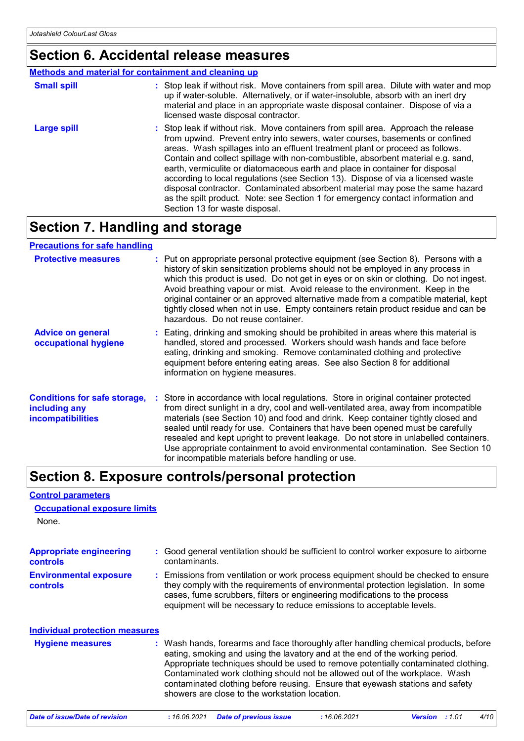**Control parameters**

**Occupational exposure limits**

### **Section 6. Accidental release measures**

#### **Methods and material for containment and cleaning up**

| <b>Small spill</b> | : Stop leak if without risk. Move containers from spill area. Dilute with water and mop<br>up if water-soluble. Alternatively, or if water-insoluble, absorb with an inert dry<br>material and place in an appropriate waste disposal container. Dispose of via a<br>licensed waste disposal contractor.                                                                                                                                                                                                                                                                                                                                                                                                          |
|--------------------|-------------------------------------------------------------------------------------------------------------------------------------------------------------------------------------------------------------------------------------------------------------------------------------------------------------------------------------------------------------------------------------------------------------------------------------------------------------------------------------------------------------------------------------------------------------------------------------------------------------------------------------------------------------------------------------------------------------------|
| Large spill        | : Stop leak if without risk. Move containers from spill area. Approach the release<br>from upwind. Prevent entry into sewers, water courses, basements or confined<br>areas. Wash spillages into an effluent treatment plant or proceed as follows.<br>Contain and collect spillage with non-combustible, absorbent material e.g. sand,<br>earth, vermiculite or diatomaceous earth and place in container for disposal<br>according to local regulations (see Section 13). Dispose of via a licensed waste<br>disposal contractor. Contaminated absorbent material may pose the same hazard<br>as the spilt product. Note: see Section 1 for emergency contact information and<br>Section 13 for waste disposal. |

# **Section 7. Handling and storage**

| <b>Precautions for safe handling</b>                                             |                                                                                                                                                                                                                                                                                                                                                                                                                                                                                                                                                                                     |
|----------------------------------------------------------------------------------|-------------------------------------------------------------------------------------------------------------------------------------------------------------------------------------------------------------------------------------------------------------------------------------------------------------------------------------------------------------------------------------------------------------------------------------------------------------------------------------------------------------------------------------------------------------------------------------|
| <b>Protective measures</b>                                                       | : Put on appropriate personal protective equipment (see Section 8). Persons with a<br>history of skin sensitization problems should not be employed in any process in<br>which this product is used. Do not get in eyes or on skin or clothing. Do not ingest.<br>Avoid breathing vapour or mist. Avoid release to the environment. Keep in the<br>original container or an approved alternative made from a compatible material, kept<br>tightly closed when not in use. Empty containers retain product residue and can be<br>hazardous. Do not reuse container.                  |
| <b>Advice on general</b><br>occupational hygiene                                 | : Eating, drinking and smoking should be prohibited in areas where this material is<br>handled, stored and processed. Workers should wash hands and face before<br>eating, drinking and smoking. Remove contaminated clothing and protective<br>equipment before entering eating areas. See also Section 8 for additional<br>information on hygiene measures.                                                                                                                                                                                                                       |
| <b>Conditions for safe storage,</b><br>including any<br><i>incompatibilities</i> | : Store in accordance with local regulations. Store in original container protected<br>from direct sunlight in a dry, cool and well-ventilated area, away from incompatible<br>materials (see Section 10) and food and drink. Keep container tightly closed and<br>sealed until ready for use. Containers that have been opened must be carefully<br>resealed and kept upright to prevent leakage. Do not store in unlabelled containers.<br>Use appropriate containment to avoid environmental contamination. See Section 10<br>for incompatible materials before handling or use. |

### **Section 8. Exposure controls/personal protection**

| None.                                             |                                                                                                                                                                                                                                                                                                                                                                                                                                                                             |
|---------------------------------------------------|-----------------------------------------------------------------------------------------------------------------------------------------------------------------------------------------------------------------------------------------------------------------------------------------------------------------------------------------------------------------------------------------------------------------------------------------------------------------------------|
| <b>Appropriate engineering</b><br><b>controls</b> | : Good general ventilation should be sufficient to control worker exposure to airborne<br>contaminants.                                                                                                                                                                                                                                                                                                                                                                     |
| <b>Environmental exposure</b><br><b>controls</b>  | : Emissions from ventilation or work process equipment should be checked to ensure<br>they comply with the requirements of environmental protection legislation. In some<br>cases, fume scrubbers, filters or engineering modifications to the process<br>equipment will be necessary to reduce emissions to acceptable levels.                                                                                                                                             |
| <b>Individual protection measures</b>             |                                                                                                                                                                                                                                                                                                                                                                                                                                                                             |
| <b>Hygiene measures</b>                           | : Wash hands, forearms and face thoroughly after handling chemical products, before<br>eating, smoking and using the lavatory and at the end of the working period.<br>Appropriate techniques should be used to remove potentially contaminated clothing.<br>Contaminated work clothing should not be allowed out of the workplace. Wash<br>contaminated clothing before reusing. Ensure that eyewash stations and safety<br>showers are close to the workstation location. |
| Date of issue/Date of revision                    | : 16.06.2021<br><b>Date of previous issue</b><br>:16.06.2021<br>:1.01<br><b>Version</b><br>4/10                                                                                                                                                                                                                                                                                                                                                                             |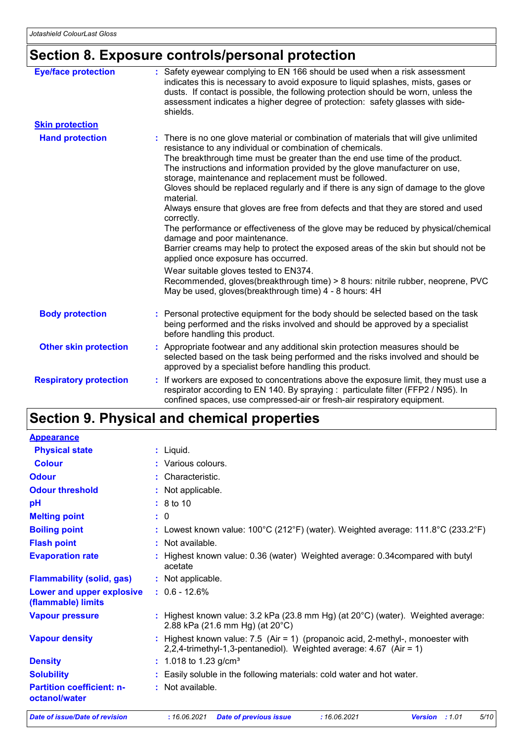# **Section 8. Exposure controls/personal protection**

| <b>Eye/face protection</b>    | : Safety eyewear complying to EN 166 should be used when a risk assessment<br>indicates this is necessary to avoid exposure to liquid splashes, mists, gases or<br>dusts. If contact is possible, the following protection should be worn, unless the<br>assessment indicates a higher degree of protection: safety glasses with side-<br>shields.                                                                                                                                                                                                                                                                                                                                                                                                                                                                                  |
|-------------------------------|-------------------------------------------------------------------------------------------------------------------------------------------------------------------------------------------------------------------------------------------------------------------------------------------------------------------------------------------------------------------------------------------------------------------------------------------------------------------------------------------------------------------------------------------------------------------------------------------------------------------------------------------------------------------------------------------------------------------------------------------------------------------------------------------------------------------------------------|
| <b>Skin protection</b>        |                                                                                                                                                                                                                                                                                                                                                                                                                                                                                                                                                                                                                                                                                                                                                                                                                                     |
| <b>Hand protection</b>        | : There is no one glove material or combination of materials that will give unlimited<br>resistance to any individual or combination of chemicals.<br>The breakthrough time must be greater than the end use time of the product.<br>The instructions and information provided by the glove manufacturer on use,<br>storage, maintenance and replacement must be followed.<br>Gloves should be replaced regularly and if there is any sign of damage to the glove<br>material.<br>Always ensure that gloves are free from defects and that they are stored and used<br>correctly.<br>The performance or effectiveness of the glove may be reduced by physical/chemical<br>damage and poor maintenance.<br>Barrier creams may help to protect the exposed areas of the skin but should not be<br>applied once exposure has occurred. |
|                               | Wear suitable gloves tested to EN374.<br>Recommended, gloves(breakthrough time) > 8 hours: nitrile rubber, neoprene, PVC<br>May be used, gloves(breakthrough time) 4 - 8 hours: 4H                                                                                                                                                                                                                                                                                                                                                                                                                                                                                                                                                                                                                                                  |
| <b>Body protection</b>        | : Personal protective equipment for the body should be selected based on the task<br>being performed and the risks involved and should be approved by a specialist<br>before handling this product.                                                                                                                                                                                                                                                                                                                                                                                                                                                                                                                                                                                                                                 |
| <b>Other skin protection</b>  | : Appropriate footwear and any additional skin protection measures should be<br>selected based on the task being performed and the risks involved and should be<br>approved by a specialist before handling this product.                                                                                                                                                                                                                                                                                                                                                                                                                                                                                                                                                                                                           |
| <b>Respiratory protection</b> | : If workers are exposed to concentrations above the exposure limit, they must use a<br>respirator according to EN 140. By spraying : particulate filter (FFP2 / N95). In<br>confined spaces, use compressed-air or fresh-air respiratory equipment.                                                                                                                                                                                                                                                                                                                                                                                                                                                                                                                                                                                |

### **Section 9. Physical and chemical properties**

| <b>Appearance</b>                                 |                                                                                                                                                           |
|---------------------------------------------------|-----------------------------------------------------------------------------------------------------------------------------------------------------------|
| <b>Physical state</b>                             | $:$ Liquid.                                                                                                                                               |
| <b>Colour</b>                                     | : Various colours.                                                                                                                                        |
| <b>Odour</b>                                      | : Characteristic.                                                                                                                                         |
| <b>Odour threshold</b>                            | : Not applicable.                                                                                                                                         |
| pH                                                | : 8 to 10                                                                                                                                                 |
| <b>Melting point</b>                              | : 0                                                                                                                                                       |
| <b>Boiling point</b>                              | : Lowest known value: $100^{\circ}$ C (212 $^{\circ}$ F) (water). Weighted average: 111.8 $^{\circ}$ C (233.2 $^{\circ}$ F)                               |
| <b>Flash point</b>                                | : Not available.                                                                                                                                          |
| <b>Evaporation rate</b>                           | : Highest known value: 0.36 (water) Weighted average: 0.34 compared with butyl<br>acetate                                                                 |
| <b>Flammability (solid, gas)</b>                  | : Not applicable.                                                                                                                                         |
| Lower and upper explosive<br>(flammable) limits   | $: 0.6 - 12.6%$                                                                                                                                           |
| <b>Vapour pressure</b>                            | : Highest known value: $3.2$ kPa (23.8 mm Hg) (at $20^{\circ}$ C) (water). Weighted average:<br>2.88 kPa (21.6 mm Hg) (at 20°C)                           |
| <b>Vapour density</b>                             | : Highest known value: $7.5$ (Air = 1) (propanoic acid, 2-methyl-, monoester with<br>2,2,4-trimethyl-1,3-pentanediol). Weighted average: $4.67$ (Air = 1) |
| <b>Density</b>                                    | : 1.018 to 1.23 g/cm <sup>3</sup>                                                                                                                         |
| <b>Solubility</b>                                 | : Easily soluble in the following materials: cold water and hot water.                                                                                    |
| <b>Partition coefficient: n-</b><br>octanol/water | : Not available.                                                                                                                                          |
| <b>Date of issue/Date of revision</b>             | 5/10<br>: 16.06.2021<br>: 16.06.2021<br><b>Date of previous issue</b><br>Version : 1.01                                                                   |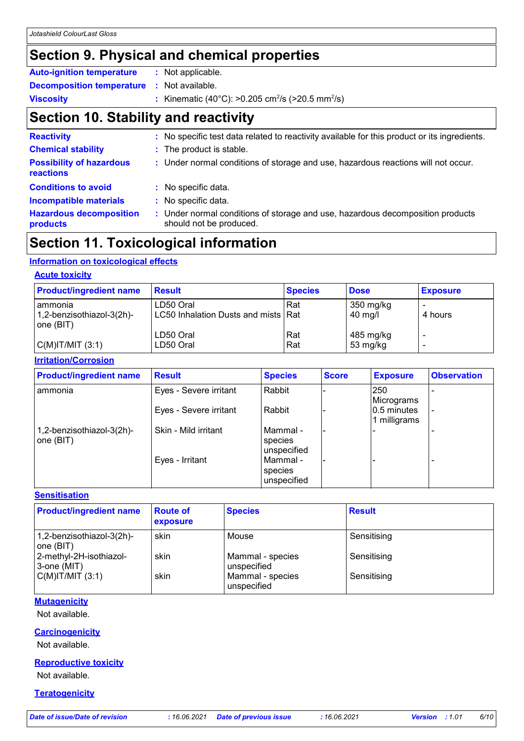### **Section 9. Physical and chemical properties**

| <b>Auto-ignition temperature</b>                  | : Not applicable.                                                        |
|---------------------------------------------------|--------------------------------------------------------------------------|
| <b>Decomposition temperature : Not available.</b> |                                                                          |
| <b>Viscosity</b>                                  | : Kinematic (40°C): >0.205 cm <sup>2</sup> /s (>20.5 mm <sup>2</sup> /s) |

# **Section 10. Stability and reactivity**

| <b>Reactivity</b>                            | : No specific test data related to reactivity available for this product or its ingredients.              |
|----------------------------------------------|-----------------------------------------------------------------------------------------------------------|
| <b>Chemical stability</b>                    | : The product is stable.                                                                                  |
| <b>Possibility of hazardous</b><br>reactions | : Under normal conditions of storage and use, hazardous reactions will not occur.                         |
| <b>Conditions to avoid</b>                   | : No specific data.                                                                                       |
| <b>Incompatible materials</b>                | : No specific data.                                                                                       |
| <b>Hazardous decomposition</b><br>products   | : Under normal conditions of storage and use, hazardous decomposition products<br>should not be produced. |

### **Section 11. Toxicological information**

#### **Information on toxicological effects**

#### **Acute toxicity**

| <b>Product/ingredient name</b>       | <b>Result</b>                                    | <b>Species</b> | <b>Dose</b>                    | <b>Exposure</b> |
|--------------------------------------|--------------------------------------------------|----------------|--------------------------------|-----------------|
| ammonia<br>1,2-benzisothiazol-3(2h)- | LD50 Oral<br>LC50 Inhalation Dusts and mists Rat | Rat            | 350 mg/kg<br>$40 \text{ mg/l}$ | 4 hours         |
| one (BIT)<br> C(M) T/MIT (3:1)       | LD50 Oral<br>LD50 Oral                           | Rat<br>Rat     | 485 mg/kg<br>53 mg/kg          |                 |

#### **Irritation/Corrosion**

| <b>Product/ingredient name</b>          | <b>Result</b>          | <b>Species</b>                       | <b>Score</b> | <b>Exposure</b>             | <b>Observation</b> |
|-----------------------------------------|------------------------|--------------------------------------|--------------|-----------------------------|--------------------|
| l ammonia                               | Eyes - Severe irritant | Rabbit                               |              | 250<br>Micrograms           |                    |
|                                         | Eyes - Severe irritant | Rabbit                               |              | 0.5 minutes<br>1 milligrams |                    |
| 1,2-benzisothiazol-3(2h)-<br> one (BIT) | Skin - Mild irritant   | l Mammal -<br>species<br>unspecified |              |                             |                    |
|                                         | Eyes - Irritant        | l Mammal -<br>species<br>unspecified |              |                             |                    |

#### **Sensitisation**

| <b>Product/ingredient name</b>         | <b>Route of</b><br>exposure | <b>Species</b>                  | <b>Result</b> |
|----------------------------------------|-----------------------------|---------------------------------|---------------|
| 1,2-benzisothiazol-3(2h)-<br>one (BIT) | skin                        | Mouse                           | Sensitising   |
| 2-methyl-2H-isothiazol-<br>3-one (MIT) | skin                        | Mammal - species<br>unspecified | Sensitising   |
| $C(M)$ IT/MIT $(3:1)$                  | skin                        | Mammal - species<br>unspecified | Sensitising   |

#### **Mutagenicity**

Not available.

#### **Carcinogenicity**

Not available.

#### **Reproductive toxicity**

Not available.

**Teratogenicity**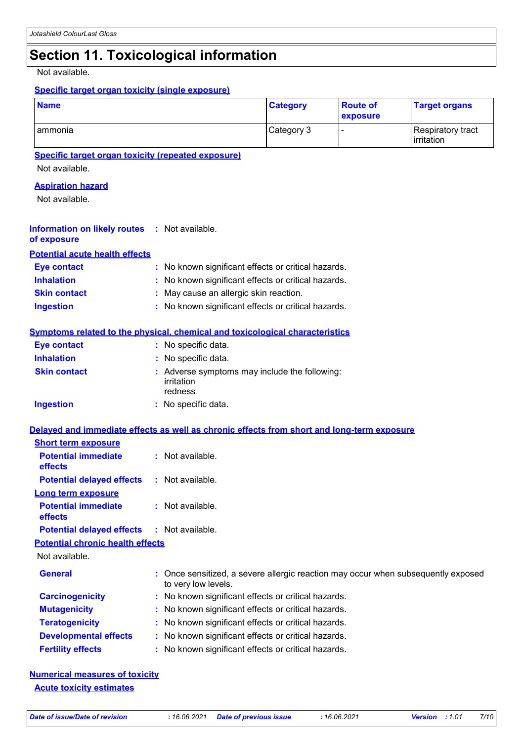### **Section 11. Toxicological information**

Not available.

#### **Specific target organ toxicity (single exposure)**

| <b>Name</b> | <b>Category</b> | <b>Route of</b><br><b>exposure</b> | <b>Target organs</b>            |
|-------------|-----------------|------------------------------------|---------------------------------|
| ammonia     | Category 3      |                                    | Respiratory tract<br>irritation |

#### **Specific target organ toxicity (repeated exposure)**

Not available.

#### **Aspiration hazard**

Not available.

#### **Information on likely routes :** Not available. **of exposure**

**Potential acute health effects**

| <b>Eve contact</b>  | : No known significant effects or critical hazards. |
|---------------------|-----------------------------------------------------|
| <b>Inhalation</b>   | : No known significant effects or critical hazards. |
| <b>Skin contact</b> | : May cause an allergic skin reaction.              |
| <b>Ingestion</b>    | : No known significant effects or critical hazards. |

#### **Symptoms related to the physical, chemical and toxicological characteristics**

| <b>Eye contact</b>  | : No specific data.                                                    |
|---------------------|------------------------------------------------------------------------|
| <b>Inhalation</b>   | : No specific data.                                                    |
| <b>Skin contact</b> | : Adverse symptoms may include the following:<br>irritation<br>redness |
| Ingestion           | : No specific data.                                                    |

#### **Delayed and immediate effects as well as chronic effects from short and long-term exposure**

| <b>Short term exposure</b>                        |                                                                                                          |
|---------------------------------------------------|----------------------------------------------------------------------------------------------------------|
| <b>Potential immediate</b><br><b>effects</b>      | $:$ Not available.                                                                                       |
| <b>Potential delayed effects</b>                  | : Not available.                                                                                         |
| Long term exposure                                |                                                                                                          |
| <b>Potential immediate</b><br><b>effects</b>      | : Not available.                                                                                         |
| <b>Potential delayed effects : Not available.</b> |                                                                                                          |
| <b>Potential chronic health effects</b>           |                                                                                                          |
| Not available.                                    |                                                                                                          |
| <b>General</b>                                    | : Once sensitized, a severe allergic reaction may occur when subsequently exposed<br>to very low levels. |
| <b>Carcinogenicity</b>                            | : No known significant effects or critical hazards.                                                      |
| <b>Mutagenicity</b>                               | : No known significant effects or critical hazards.                                                      |
| <b>Teratogenicity</b>                             | : No known significant effects or critical hazards.                                                      |
| <b>Developmental effects</b>                      | : No known significant effects or critical hazards.                                                      |
| <b>Fertility effects</b>                          | : No known significant effects or critical hazards.                                                      |

#### **Numerical measures of toxicity Acute toxicity estimates**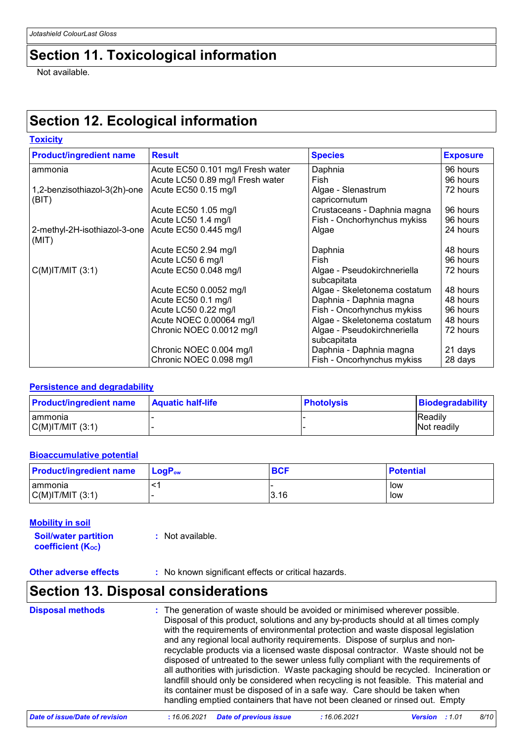### **Section 11. Toxicological information**

Not available.

## **Section 12. Ecological information**

| <b>Toxicity</b>                       |                                   |                                            |                 |
|---------------------------------------|-----------------------------------|--------------------------------------------|-----------------|
| <b>Product/ingredient name</b>        | <b>Result</b>                     | <b>Species</b>                             | <b>Exposure</b> |
| ammonia                               | Acute EC50 0.101 mg/l Fresh water | Daphnia                                    | 96 hours        |
|                                       | Acute LC50 0.89 mg/l Fresh water  | Fish                                       | 96 hours        |
| 1,2-benzisothiazol-3(2h)-one<br>(BIT) | Acute EC50 0.15 mg/l              | Algae - Slenastrum<br>capricornutum        | 72 hours        |
|                                       | Acute EC50 1.05 mg/l              | Crustaceans - Daphnia magna                | 96 hours        |
|                                       | Acute LC50 1.4 mg/l               | Fish - Onchorhynchus mykiss                | 96 hours        |
| 2-methyl-2H-isothiazol-3-one<br>(MIT) | Acute EC50 0.445 mg/l             | Algae                                      | 24 hours        |
|                                       | Acute EC50 2.94 mg/l              | Daphnia                                    | 48 hours        |
|                                       | Acute LC50 6 mg/l                 | Fish                                       | 96 hours        |
| $C(M)$ IT/MIT $(3:1)$                 | Acute EC50 0.048 mg/l             | Algae - Pseudokirchneriella<br>subcapitata | 72 hours        |
|                                       | Acute EC50 0.0052 mg/l            | Algae - Skeletonema costatum               | 48 hours        |
|                                       | Acute EC50 0.1 mg/l               | Daphnia - Daphnia magna                    | 48 hours        |
|                                       | Acute LC50 0.22 mg/l              | Fish - Oncorhynchus mykiss                 | 96 hours        |
|                                       | Acute NOEC 0.00064 mg/l           | Algae - Skeletonema costatum               | 48 hours        |
|                                       | Chronic NOEC 0.0012 mg/l          | Algae - Pseudokirchneriella<br>subcapitata | 72 hours        |
|                                       | Chronic NOEC 0.004 mg/l           | Daphnia - Daphnia magna                    | 21 days         |
|                                       | Chronic NOEC 0.098 mg/l           | Fish - Oncorhynchus mykiss                 | 28 days         |

#### **Persistence and degradability**

| <b>Product/ingredient name</b> | <b>Aquatic half-life</b> | <b>Photolysis</b> | Biodegradability              |
|--------------------------------|--------------------------|-------------------|-------------------------------|
| Tammonia<br> C(M) T/M T(3:1)   |                          |                   | <b>Readily</b><br>Not readily |

#### **Bioaccumulative potential**

| <b>Product/ingredient name</b> | <b>LogP</b> <sub>ow</sub> | <b>BCF</b> | <b>Potential</b> |
|--------------------------------|---------------------------|------------|------------------|
| I ammonia                      |                           |            | low              |
| $C(M)$ IT/MIT $(3:1)$          |                           | 3.16       | low              |

#### **Mobility in soil**

**Soil/water partition coefficient (Koc) :** Not available.

**Other adverse effects** : No known significant effects or critical hazards.

### **Section 13. Disposal considerations**

| <b>Disposal methods</b> | : The generation of waste should be avoided or minimised wherever possible.<br>Disposal of this product, solutions and any by-products should at all times comply<br>with the requirements of environmental protection and waste disposal legislation<br>and any regional local authority requirements. Dispose of surplus and non-<br>recyclable products via a licensed waste disposal contractor. Waste should not be<br>disposed of untreated to the sewer unless fully compliant with the requirements of<br>all authorities with jurisdiction. Waste packaging should be recycled. Incineration or<br>landfill should only be considered when recycling is not feasible. This material and<br>its container must be disposed of in a safe way. Care should be taken when |
|-------------------------|--------------------------------------------------------------------------------------------------------------------------------------------------------------------------------------------------------------------------------------------------------------------------------------------------------------------------------------------------------------------------------------------------------------------------------------------------------------------------------------------------------------------------------------------------------------------------------------------------------------------------------------------------------------------------------------------------------------------------------------------------------------------------------|
|                         | handling emptied containers that have not been cleaned or rinsed out. Empty                                                                                                                                                                                                                                                                                                                                                                                                                                                                                                                                                                                                                                                                                                    |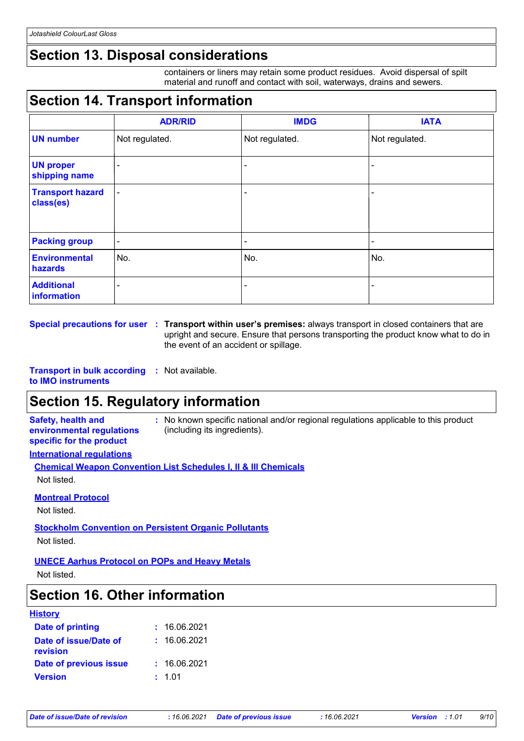### **Section 13. Disposal considerations**

containers or liners may retain some product residues. Avoid dispersal of spilt material and runoff and contact with soil, waterways, drains and sewers.

# **Section 14. Transport information**

|                                      | <b>ADR/RID</b> | <b>IMDG</b>    | <b>IATA</b>    |
|--------------------------------------|----------------|----------------|----------------|
| <b>UN number</b>                     | Not regulated. | Not regulated. | Not regulated. |
| <b>UN proper</b><br>shipping name    | $\blacksquare$ |                |                |
| <b>Transport hazard</b><br>class(es) | $\blacksquare$ | $\blacksquare$ |                |
| <b>Packing group</b>                 | $\blacksquare$ | -              | -              |
| <b>Environmental</b><br>hazards      | No.            | No.            | No.            |
| <b>Additional</b><br>information     | ۰              | -              | -              |

**Special precautions for user Transport within user's premises:** always transport in closed containers that are **:** upright and secure. Ensure that persons transporting the product know what to do in the event of an accident or spillage.

**Transport in bulk according :** Not available.

#### **to IMO instruments**

### **Section 15. Regulatory information**

**Safety, health and environmental regulations specific for the product**

**:** No known specific national and/or regional regulations applicable to this product (including its ingredients).

#### **International regulations**

| <b>Chemical Weapon Convention List Schedules I, II &amp; III Chemicals</b> |  |
|----------------------------------------------------------------------------|--|
| Not listed.                                                                |  |

#### **Montreal Protocol**

Not listed.

#### **Stockholm Convention on Persistent Organic Pollutants** Not listed.

#### **UNECE Aarhus Protocol on POPs and Heavy Metals**

Not listed.

### **Section 16. Other information**

| <b>History</b>                    |              |
|-----------------------------------|--------------|
| <b>Date of printing</b>           | : 16.06.2021 |
| Date of issue/Date of<br>revision | : 16.06.2021 |
| Date of previous issue            | : 16.06.2021 |
| <b>Version</b>                    | : 1.01       |